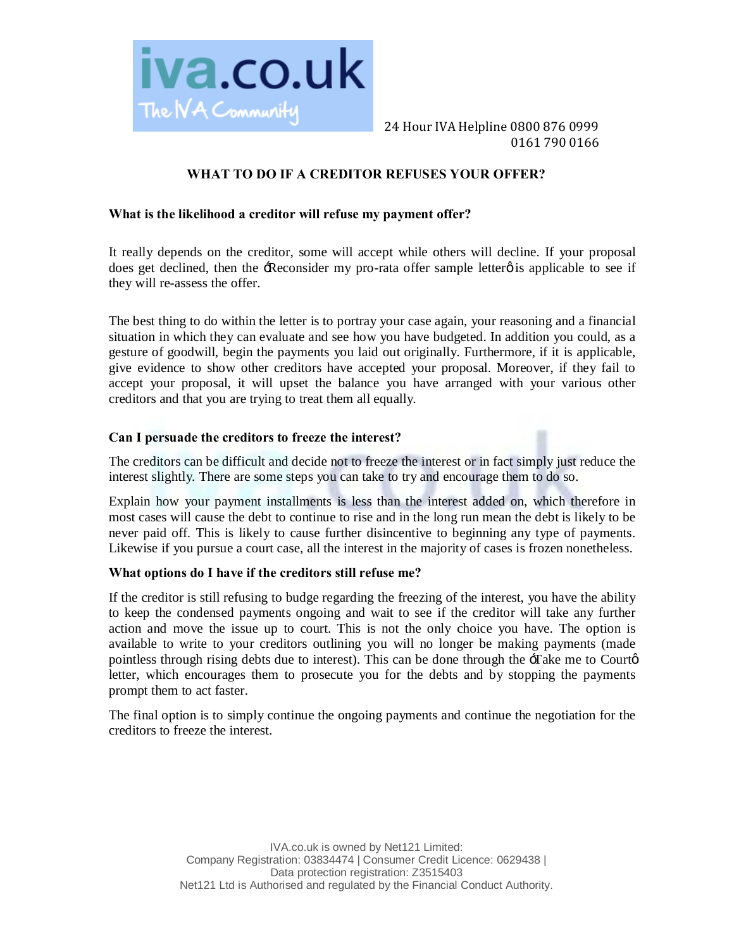

 24 Hour IVA Helpline 0800 876 0999 0161 790 0166

# **WHAT TO DO IF A CREDITOR REFUSES YOUR OFFER?**

### **What is the likelihood a creditor will refuse my payment offer?**

It really depends on the creditor, some will accept while others will decline. If your proposal does get declined, then the -Reconsider my pro-rata offer sample letter  $\phi$  is applicable to see if they will re-assess the offer.

The best thing to do within the letter is to portray your case again, your reasoning and a financial situation in which they can evaluate and see how you have budgeted. In addition you could, as a gesture of goodwill, begin the payments you laid out originally. Furthermore, if it is applicable, give evidence to show other creditors have accepted your proposal. Moreover, if they fail to accept your proposal, it will upset the balance you have arranged with your various other creditors and that you are trying to treat them all equally.

## **Can I persuade the creditors to freeze the interest?**

The creditors can be difficult and decide not to freeze the interest or in fact simply just reduce the interest slightly. There are some steps you can take to try and encourage them to do so.

Explain how your payment installments is less than the interest added on, which therefore in most cases will cause the debt to continue to rise and in the long run mean the debt is likely to be never paid off. This is likely to cause further disincentive to beginning any type of payments. Likewise if you pursue a court case, all the interest in the majority of cases is frozen nonetheless.

#### **What options do I have if the creditors still refuse me?**

If the creditor is still refusing to budge regarding the freezing of the interest, you have the ability to keep the condensed payments ongoing and wait to see if the creditor will take any further action and move the issue up to court. This is not the only choice you have. The option is available to write to your creditors outlining you will no longer be making payments (made pointless through rising debts due to interest). This can be done through the  $-$ Take me to Court $\phi$ letter, which encourages them to prosecute you for the debts and by stopping the payments prompt them to act faster.

The final option is to simply continue the ongoing payments and continue the negotiation for the creditors to freeze the interest.